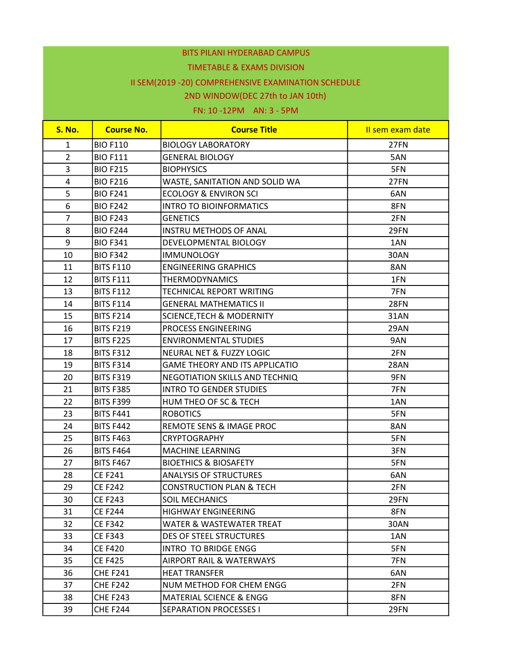#### TIMETABLE & EXAMS DIVISION

## II SEM(2019 -20) COMPREHENSIVE EXAMINATION SCHEDULE

### 2ND WINDOW(DEC 27th to JAN 10th)

| <b>S. No.</b>  | <b>Course No.</b> | <b>Course Title</b>                   | Il sem exam date |
|----------------|-------------------|---------------------------------------|------------------|
| $\mathbf{1}$   | <b>BIO F110</b>   | <b>BIOLOGY LABORATORY</b>             | 27FN             |
| $\overline{2}$ | <b>BIO F111</b>   | <b>GENERAL BIOLOGY</b>                | 5AN              |
| 3              | <b>BIO F215</b>   | <b>BIOPHYSICS</b>                     | 5FN              |
| 4              | <b>BIO F216</b>   | WASTE, SANITATION AND SOLID WA        | 27FN             |
| 5              | <b>BIO F241</b>   | <b>ECOLOGY &amp; ENVIRON SCI</b>      | 6AN              |
| 6              | <b>BIO F242</b>   | <b>INTRO TO BIOINFORMATICS</b>        | 8FN              |
| $\overline{7}$ | <b>BIO F243</b>   | <b>GENETICS</b>                       | 2FN              |
| 8              | <b>BIO F244</b>   | <b>INSTRU METHODS OF ANAL</b>         | 29FN             |
| 9              | <b>BIO F341</b>   | DEVELOPMENTAL BIOLOGY                 | 1AN              |
| 10             | <b>BIO F342</b>   | <b>IMMUNOLOGY</b>                     | 30AN             |
| 11             | <b>BITS F110</b>  | <b>ENGINEERING GRAPHICS</b>           | 8AN              |
| 12             | <b>BITS F111</b>  | <b>THERMODYNAMICS</b>                 | 1FN              |
| 13             | <b>BITS F112</b>  | TECHNICAL REPORT WRITING              | 7FN              |
| 14             | <b>BITS F114</b>  | <b>GENERAL MATHEMATICS II</b>         | 28FN             |
| 15             | <b>BITS F214</b>  | <b>SCIENCE, TECH &amp; MODERNITY</b>  | 31AN             |
| 16             | <b>BITS F219</b>  | PROCESS ENGINEERING                   | 29AN             |
| 17             | <b>BITS F225</b>  | <b>ENVIRONMENTAL STUDIES</b>          | 9AN              |
| 18             | <b>BITS F312</b>  | <b>NEURAL NET &amp; FUZZY LOGIC</b>   | 2FN              |
| 19             | <b>BITS F314</b>  | <b>GAME THEORY AND ITS APPLICATIO</b> | <b>28AN</b>      |
| 20             | <b>BITS F319</b>  | NEGOTIATION SKILLS AND TECHNIQ        | 9FN              |
| 21             | <b>BITS F385</b>  | <b>INTRO TO GENDER STUDIES</b>        | 7FN              |
| 22             | <b>BITS F399</b>  | HUM THEO OF SC & TECH                 | 1AN              |
| 23             | <b>BITS F441</b>  | <b>ROBOTICS</b>                       | 5FN              |
| 24             | <b>BITS F442</b>  | REMOTE SENS & IMAGE PROC              | 8AN              |
| 25             | <b>BITS F463</b>  | <b>CRYPTOGRAPHY</b>                   | 5FN              |
| 26             | <b>BITS F464</b>  | MACHINE LEARNING                      | 3FN              |
| 27             | <b>BITS F467</b>  | <b>BIOETHICS &amp; BIOSAFETY</b>      | 5FN              |
| 28             | <b>CEF241</b>     | <b>ANALYSIS OF STRUCTURES</b>         | 6AN              |
| 29             | <b>CEF242</b>     | <b>CONSTRUCTION PLAN &amp; TECH</b>   | 2FN              |
| 30             | <b>CEF243</b>     | SOIL MECHANICS                        | 29FN             |
| 31             | <b>CE F244</b>    | <b>HIGHWAY ENGINEERING</b>            | 8FN              |
| 32             | <b>CEF342</b>     | <b>WATER &amp; WASTEWATER TREAT</b>   | 30AN             |
| 33             | <b>CE F343</b>    | DES OF STEEL STRUCTURES               | 1AN              |
| 34             | <b>CE F420</b>    | INTRO TO BRIDGE ENGG                  | 5FN              |
| 35             | CE F425           | AIRPORT RAIL & WATERWAYS              | 7FN              |
| 36             | <b>CHE F241</b>   | <b>HEAT TRANSFER</b>                  | 6AN              |
| 37             | <b>CHE F242</b>   | NUM METHOD FOR CHEM ENGG              | 2FN              |
| 38             | <b>CHE F243</b>   | <b>MATERIAL SCIENCE &amp; ENGG</b>    | 8FN              |
| 39             | <b>CHE F244</b>   | <b>SEPARATION PROCESSES I</b>         | 29FN             |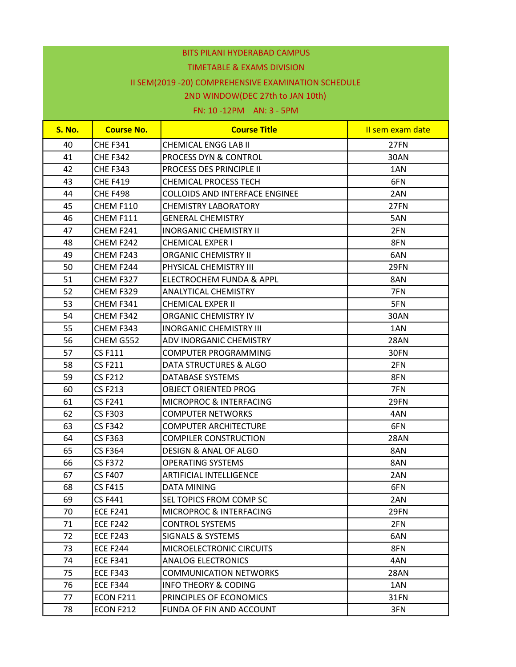#### TIMETABLE & EXAMS DIVISION

## II SEM(2019 -20) COMPREHENSIVE EXAMINATION SCHEDULE

### 2ND WINDOW(DEC 27th to JAN 10th)

| <b>S. No.</b> | <b>Course No.</b> | <b>Course Title</b>                   | Il sem exam date |
|---------------|-------------------|---------------------------------------|------------------|
| 40            | <b>CHE F341</b>   | <b>CHEMICAL ENGG LAB II</b>           | 27FN             |
| 41            | <b>CHE F342</b>   | <b>PROCESS DYN &amp; CONTROL</b>      | 30AN             |
| 42            | <b>CHE F343</b>   | <b>PROCESS DES PRINCIPLE II</b>       | 1AN              |
| 43            | <b>CHE F419</b>   | <b>CHEMICAL PROCESS TECH</b>          | 6FN              |
| 44            | <b>CHE F498</b>   | <b>COLLOIDS AND INTERFACE ENGINEE</b> | 2AN              |
| 45            | CHEM F110         | <b>CHEMISTRY LABORATORY</b>           | 27FN             |
| 46            | CHEM F111         | <b>GENERAL CHEMISTRY</b>              | 5AN              |
| 47            | CHEM F241         | <b>INORGANIC CHEMISTRY II</b>         | 2FN              |
| 48            | CHEM F242         | <b>CHEMICAL EXPER I</b>               | 8FN              |
| 49            | CHEM F243         | <b>ORGANIC CHEMISTRY II</b>           | 6AN              |
| 50            | CHEM F244         | PHYSICAL CHEMISTRY III                | 29FN             |
| 51            | CHEM F327         | ELECTROCHEM FUNDA & APPL              | 8AN              |
| 52            | CHEM F329         | <b>ANALYTICAL CHEMISTRY</b>           | 7FN              |
| 53            | CHEM F341         | <b>CHEMICAL EXPER II</b>              | 5FN              |
| 54            | CHEM F342         | ORGANIC CHEMISTRY IV                  | 30AN             |
| 55            | CHEM F343         | <b>INORGANIC CHEMISTRY III</b>        | 1AN              |
| 56            | CHEM G552         | <b>ADV INORGANIC CHEMISTRY</b>        | <b>28AN</b>      |
| 57            | <b>CS F111</b>    | COMPUTER PROGRAMMING                  | 30FN             |
| 58            | <b>CS F211</b>    | DATA STRUCTURES & ALGO                | 2FN              |
| 59            | <b>CS F212</b>    | DATABASE SYSTEMS                      | 8FN              |
| 60            | <b>CS F213</b>    | OBJECT ORIENTED PROG                  | 7FN              |
| 61            | <b>CSF241</b>     | MICROPROC & INTERFACING               | 29FN             |
| 62            | <b>CS F303</b>    | <b>COMPUTER NETWORKS</b>              | 4AN              |
| 63            | <b>CS F342</b>    | <b>COMPUTER ARCHITECTURE</b>          | 6FN              |
| 64            | <b>CSF363</b>     | <b>COMPILER CONSTRUCTION</b>          | <b>28AN</b>      |
| 65            | <b>CS F364</b>    | DESIGN & ANAL OF ALGO                 | 8AN              |
| 66            | <b>CSF372</b>     | <b>OPERATING SYSTEMS</b>              | 8AN              |
| 67            | <b>CS F407</b>    | ARTIFICIAL INTELLIGENCE               | 2AN              |
| 68            | <b>CS F415</b>    | <b>DATA MINING</b>                    | 6FN              |
| 69            | <b>CS F441</b>    | SEL TOPICS FROM COMP SC               | 2AN              |
| 70            | <b>ECE F241</b>   | MICROPROC & INTERFACING               | 29FN             |
| 71            | <b>ECE F242</b>   | <b>CONTROL SYSTEMS</b>                | 2FN              |
| 72            | <b>ECE F243</b>   | SIGNALS & SYSTEMS                     | 6AN              |
| 73            | <b>ECE F244</b>   | MICROELECTRONIC CIRCUITS              | 8FN              |
| 74            | <b>ECE F341</b>   | <b>ANALOG ELECTRONICS</b>             | 4AN              |
| 75            | <b>ECE F343</b>   | <b>COMMUNICATION NETWORKS</b>         | <b>28AN</b>      |
| 76            | <b>ECE F344</b>   | <b>INFO THEORY &amp; CODING</b>       | 1AN              |
| 77            | ECON F211         | PRINCIPLES OF ECONOMICS               | 31FN             |
| 78            | ECON F212         | FUNDA OF FIN AND ACCOUNT              | 3FN              |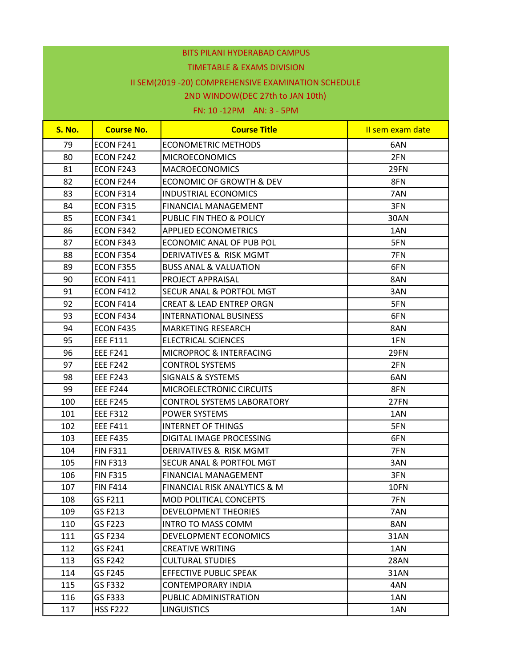#### TIMETABLE & EXAMS DIVISION

## II SEM(2019 -20) COMPREHENSIVE EXAMINATION SCHEDULE

### 2ND WINDOW(DEC 27th to JAN 10th)

| <b>S. No.</b> | <b>Course No.</b> | <b>Course Title</b>                 | Il sem exam date |
|---------------|-------------------|-------------------------------------|------------------|
| 79            | ECON F241         | <b>ECONOMETRIC METHODS</b>          | 6AN              |
| 80            | ECON F242         | <b>MICROECONOMICS</b>               | 2FN              |
| 81            | ECON F243         | <b>MACROECONOMICS</b>               | 29FN             |
| 82            | ECON F244         | ECONOMIC OF GROWTH & DEV            | 8FN              |
| 83            | ECON F314         | <b>INDUSTRIAL ECONOMICS</b>         | 7AN              |
| 84            | <b>ECON F315</b>  | FINANCIAL MANAGEMENT                | 3FN              |
| 85            | ECON F341         | PUBLIC FIN THEO & POLICY            | 30AN             |
| 86            | ECON F342         | <b>APPLIED ECONOMETRICS</b>         | 1AN              |
| 87            | ECON F343         | ECONOMIC ANAL OF PUB POL            | 5FN              |
| 88            | ECON F354         | DERIVATIVES & RISK MGMT             | 7FN              |
| 89            | <b>ECON F355</b>  | <b>BUSS ANAL &amp; VALUATION</b>    | 6FN              |
| 90            | ECON F411         | PROJECT APPRAISAL                   | 8AN              |
| 91            | ECON F412         | <b>SECUR ANAL &amp; PORTFOL MGT</b> | 3AN              |
| 92            | ECON F414         | <b>CREAT &amp; LEAD ENTREP ORGN</b> | 5FN              |
| 93            | ECON F434         | <b>INTERNATIONAL BUSINESS</b>       | 6FN              |
| 94            | ECON F435         | <b>MARKETING RESEARCH</b>           | 8AN              |
| 95            | <b>EEE F111</b>   | <b>ELECTRICAL SCIENCES</b>          | 1FN              |
| 96            | <b>EEE F241</b>   | MICROPROC & INTERFACING             | 29FN             |
| 97            | <b>EEE F242</b>   | <b>CONTROL SYSTEMS</b>              | 2FN              |
| 98            | <b>EEE F243</b>   | <b>SIGNALS &amp; SYSTEMS</b>        | 6AN              |
| 99            | <b>EEE F244</b>   | MICROELECTRONIC CIRCUITS            | 8FN              |
| 100           | <b>EEE F245</b>   | <b>CONTROL SYSTEMS LABORATORY</b>   | 27FN             |
| 101           | <b>EEE F312</b>   | POWER SYSTEMS                       | 1AN              |
| 102           | <b>EEE F411</b>   | <b>INTERNET OF THINGS</b>           | 5FN              |
| 103           | <b>EEE F435</b>   | DIGITAL IMAGE PROCESSING            | 6FN              |
| 104           | <b>FIN F311</b>   | DERIVATIVES & RISK MGMT             | 7FN              |
| 105           | <b>FIN F313</b>   | <b>SECUR ANAL &amp; PORTFOL MGT</b> | 3AN              |
| 106           | <b>FIN F315</b>   | <b>FINANCIAL MANAGEMENT</b>         | 3FN              |
| 107           | <b>FIN F414</b>   | FINANCIAL RISK ANALYTICS & M        | 10FN             |
| 108           | GS F211           | MOD POLITICAL CONCEPTS              | 7FN              |
| 109           | GS F213           | <b>DEVELOPMENT THEORIES</b>         | 7AN              |
| 110           | GS F223           | <b>INTRO TO MASS COMM</b>           | 8AN              |
| 111           | GS F234           | DEVELOPMENT ECONOMICS               | 31AN             |
| 112           | GS F241           | <b>CREATIVE WRITING</b>             | 1AN              |
| 113           | GS F242           | <b>CULTURAL STUDIES</b>             | 28AN             |
| 114           | GS F245           | <b>EFFECTIVE PUBLIC SPEAK</b>       | 31AN             |
| 115           | GS F332           | <b>CONTEMPORARY INDIA</b>           | 4AN              |
| 116           | GS F333           | PUBLIC ADMINISTRATION               | 1AN              |
| 117           | <b>HSS F222</b>   | <b>LINGUISTICS</b>                  | 1AN              |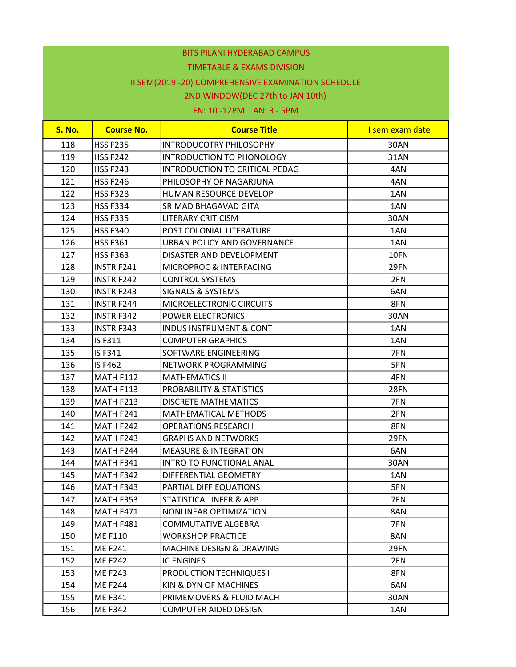#### TIMETABLE & EXAMS DIVISION

# II SEM(2019 -20) COMPREHENSIVE EXAMINATION SCHEDULE

### 2ND WINDOW(DEC 27th to JAN 10th)

| <b>S. No.</b> | <b>Course No.</b> | <b>Course Title</b>                | Il sem exam date |
|---------------|-------------------|------------------------------------|------------------|
| 118           | <b>HSS F235</b>   | <b>INTRODUCOTRY PHILOSOPHY</b>     | 30AN             |
| 119           | <b>HSS F242</b>   | INTRODUCTION TO PHONOLOGY          | 31AN             |
| 120           | <b>HSS F243</b>   | INTRODUCTION TO CRITICAL PEDAG     | 4AN              |
| 121           | <b>HSS F246</b>   | PHILOSOPHY OF NAGARJUNA            | 4AN              |
| 122           | <b>HSS F328</b>   | HUMAN RESOURCE DEVELOP             | 1AN              |
| 123           | <b>HSS F334</b>   | SRIMAD BHAGAVAD GITA               | 1AN              |
| 124           | <b>HSS F335</b>   | <b>LITERARY CRITICISM</b>          | 30AN             |
| 125           | <b>HSS F340</b>   | POST COLONIAL LITERATURE           | 1AN              |
| 126           | <b>HSS F361</b>   | URBAN POLICY AND GOVERNANCE        | 1AN              |
| 127           | <b>HSS F363</b>   | DISASTER AND DEVELOPMENT           | 10FN             |
| 128           | <b>INSTR F241</b> | MICROPROC & INTERFACING            | 29FN             |
| 129           | <b>INSTR F242</b> | <b>CONTROL SYSTEMS</b>             | 2FN              |
| 130           | <b>INSTR F243</b> | <b>SIGNALS &amp; SYSTEMS</b>       | 6AN              |
| 131           | <b>INSTR F244</b> | MICROELECTRONIC CIRCUITS           | 8FN              |
| 132           | <b>INSTR F342</b> | <b>POWER ELECTRONICS</b>           | 30AN             |
| 133           | <b>INSTR F343</b> | <b>INDUS INSTRUMENT &amp; CONT</b> | 1AN              |
| 134           | IS F311           | <b>COMPUTER GRAPHICS</b>           | 1AN              |
| 135           | IS F341           | <b>SOFTWARE ENGINEERING</b>        | 7FN              |
| 136           | IS F462           | NETWORK PROGRAMMING                | 5FN              |
| 137           | <b>MATH F112</b>  | <b>MATHEMATICS II</b>              | 4FN              |
| 138           | <b>MATH F113</b>  | PROBABILITY & STATISTICS           | <b>28FN</b>      |
| 139           | MATH F213         | <b>DISCRETE MATHEMATICS</b>        | 7FN              |
| 140           | MATH F241         | <b>MATHEMATICAL METHODS</b>        | 2FN              |
| 141           | MATH F242         | <b>OPERATIONS RESEARCH</b>         | 8FN              |
| 142           | MATH F243         | <b>GRAPHS AND NETWORKS</b>         | 29FN             |
| 143           | MATH F244         | <b>MEASURE &amp; INTEGRATION</b>   | 6AN              |
| 144           | MATH F341         | INTRO TO FUNCTIONAL ANAL           | 30AN             |
| 145           | MATH F342         | DIFFERENTIAL GEOMETRY              | 1AN              |
| 146           | MATH F343         | PARTIAL DIFF EQUATIONS             | 5FN              |
| 147           | MATH F353         | STATISTICAL INFER & APP            | 7FN              |
| 148           | MATH F471         | NONLINEAR OPTIMIZATION             | 8AN              |
| 149           | MATH F481         | <b>COMMUTATIVE ALGEBRA</b>         | 7FN              |
| 150           | <b>MEF110</b>     | <b>WORKSHOP PRACTICE</b>           | 8AN              |
| 151           | <b>MEF241</b>     | MACHINE DESIGN & DRAWING           | 29FN             |
| 152           | <b>ME F242</b>    | <b>IC ENGINES</b>                  | 2FN              |
| 153           | <b>ME F243</b>    | <b>PRODUCTION TECHNIQUES I</b>     | 8FN              |
| 154           | <b>MEF244</b>     | KIN & DYN OF MACHINES              | 6AN              |
| 155           | <b>MEF341</b>     | PRIMEMOVERS & FLUID MACH           | 30AN             |
| 156           | <b>MEF342</b>     | <b>COMPUTER AIDED DESIGN</b>       | 1AN              |